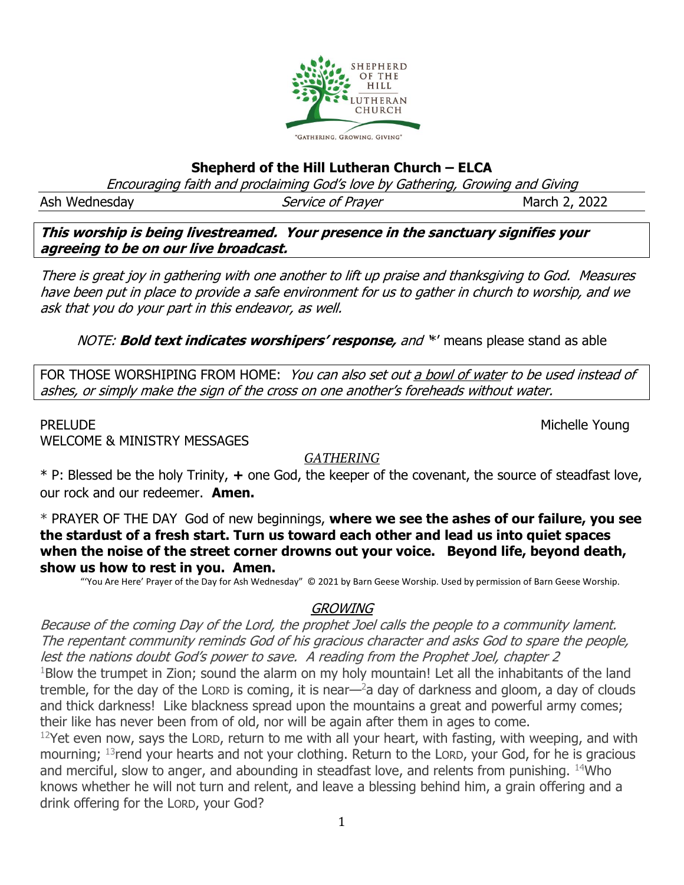

### **Shepherd of the Hill Lutheran Church – ELCA**

Encouraging faith and proclaiming God's love by Gathering, Growing and Giving

Ash Wednesday **Service of Prayer** March 2, 2022

**This worship is being livestreamed. Your presence in the sanctuary signifies your agreeing to be on our live broadcast.** 

There is great joy in gathering with one another to lift up praise and thanksgiving to God. Measures have been put in place to provide a safe environment for us to gather in church to worship, and we ask that you do your part in this endeavor, as well.

NOTE: **Bold text indicates worshipers' response,** and '\*' means please stand as able

FOR THOSE WORSHIPING FROM HOME: You can also set out a bowl of water to be used instead of ashes, or simply make the sign of the cross on one another's foreheads without water.

WELCOME & MINISTRY MESSAGES

PRELUDE Nichelle Young

#### *GATHERING*

\* P: Blessed be the holy Trinity, **+** one God, the keeper of the covenant, the source of steadfast love, our rock and our redeemer. **Amen.**

\* PRAYER OF THE DAYGod of new beginnings, **where we see the ashes of our failure, you see the stardust of a fresh start. Turn us toward each other and lead us into quiet spaces when the noise of the street corner drowns out your voice. Beyond life, beyond death, show us how to rest in you. Amen.**

"'You Are Here' Prayer of the Day for Ash Wednesday" © 2021 by Barn Geese Worship. Used by permission of Barn Geese Worship.

#### GROWING

Because of the coming Day of the Lord, the prophet Joel calls the people to a community lament. The repentant community reminds God of his gracious character and asks God to spare the people, lest the nations doubt God's power to save. A reading from the Prophet Joel, chapter 2  $1$ Blow the trumpet in Zion; sound the alarm on my holy mountain! Let all the inhabitants of the land tremble, for the day of the LORD is coming, it is near— $2a$  day of darkness and gloom, a day of clouds and thick darkness! Like blackness spread upon the mountains a great and powerful army comes; their like has never been from of old, nor will be again after them in ages to come.

 $12$ Yet even now, says the LORD, return to me with all your heart, with fasting, with weeping, and with mourning; <sup>13</sup>rend your hearts and not your clothing. Return to the LORD, your God, for he is gracious and merciful, slow to anger, and abounding in steadfast love, and relents from punishing. <sup>14</sup>Who knows whether he will not turn and relent, and leave a blessing behind him, a grain offering and a drink offering for the LORD, your God?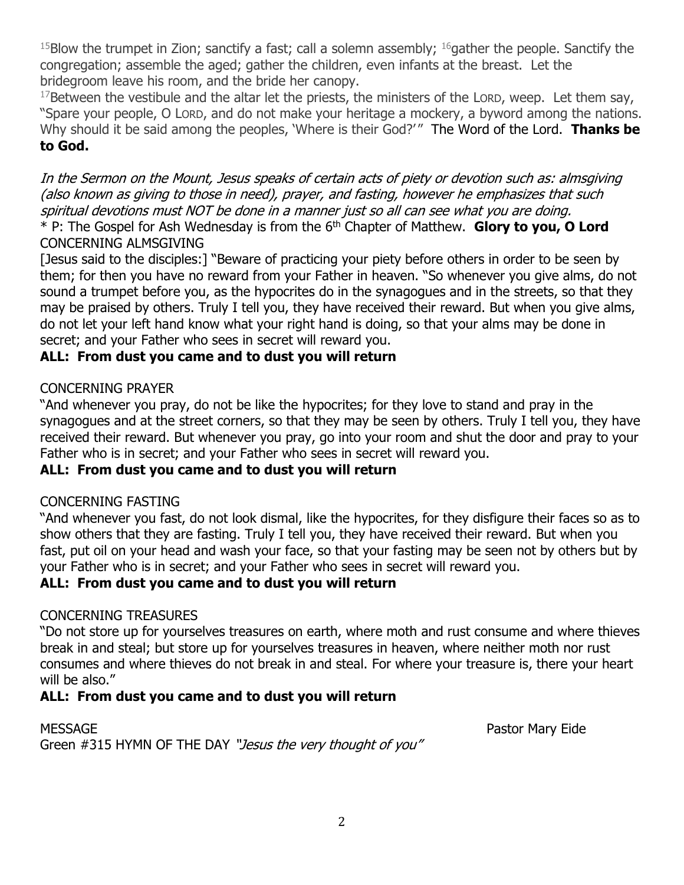$15$ Blow the trumpet in Zion; sanctify a fast; call a solemn assembly;  $16$  gather the people. Sanctify the congregation; assemble the aged; gather the children, even infants at the breast. Let the bridegroom leave his room, and the bride her canopy.

 $17$ Between the vestibule and the altar let the priests, the ministers of the LORD, weep. Let them say, "Spare your people, O LORD, and do not make your heritage a mockery, a byword among the nations. Why should it be said among the peoples, 'Where is their God?'" The Word of the Lord. Thanks be **to God.**

In the Sermon on the Mount, Jesus speaks of certain acts of piety or devotion such as: almsgiving (also known as giving to those in need), prayer, and fasting, however he emphasizes that such spiritual devotions must NOT be done in a manner just so all can see what you are doing. \* P: The Gospel for Ash Wednesday is from the 6th Chapter of Matthew. **Glory to you, O Lord**

## CONCERNING ALMSGIVING

[Jesus said to the disciples:] "Beware of practicing your piety before others in order to be seen by them; for then you have no reward from your Father in heaven. "So whenever you give alms, do not sound a trumpet before you, as the hypocrites do in the synagogues and in the streets, so that they may be praised by others. Truly I tell you, they have received their reward. But when you give alms, do not let your left hand know what your right hand is doing, so that your alms may be done in secret; and your Father who sees in secret will reward you.

## **ALL: From dust you came and to dust you will return**

#### CONCERNING PRAYER

"And whenever you pray, do not be like the hypocrites; for they love to stand and pray in the synagogues and at the street corners, so that they may be seen by others. Truly I tell you, they have received their reward. But whenever you pray, go into your room and shut the door and pray to your Father who is in secret; and your Father who sees in secret will reward you.

#### **ALL: From dust you came and to dust you will return**

#### CONCERNING FASTING

"And whenever you fast, do not look dismal, like the hypocrites, for they disfigure their faces so as to show others that they are fasting. Truly I tell you, they have received their reward. But when you fast, put oil on your head and wash your face, so that your fasting may be seen not by others but by your Father who is in secret; and your Father who sees in secret will reward you.

#### **ALL: From dust you came and to dust you will return**

#### CONCERNING TREASURES

"Do not store up for yourselves treasures on earth, where moth and rust consume and where thieves break in and steal; but store up for yourselves treasures in heaven, where neither moth nor rust consumes and where thieves do not break in and steal. For where your treasure is, there your heart will be also."

# **ALL: From dust you came and to dust you will return**

MESSAGE Pastor Mary Eide Green #315 HYMN OF THE DAY "Jesus the very thought of you"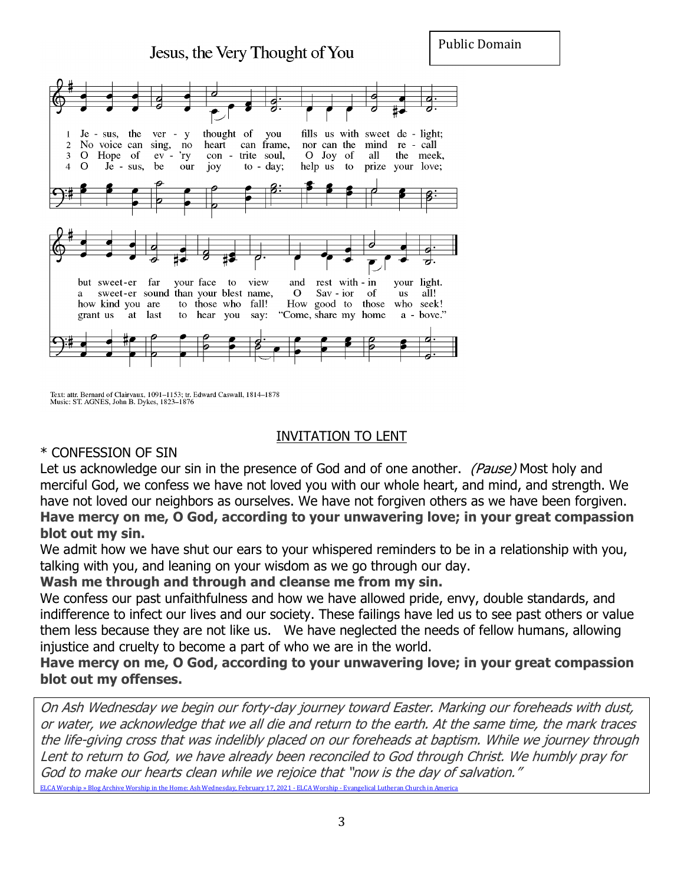Public Domain



Text: attr. Bernard of Clairvaux, 1091-1153; tr. Edward Caswall, 1814-1878<br>Music: ST. AGNES, John B. Dykes, 1823-1876

#### INVITATION TO LENT

#### \* CONFESSION OF SIN

Let us acknowledge our sin in the presence of God and of one another. (Pause) Most holy and merciful God, we confess we have not loved you with our whole heart, and mind, and strength. We have not loved our neighbors as ourselves. We have not forgiven others as we have been forgiven. **Have mercy on me, O God, according to your unwavering love; in your great compassion blot out my sin.**

We admit how we have shut our ears to your whispered reminders to be in a relationship with you, talking with you, and leaning on your wisdom as we go through our day.

**Wash me through and through and cleanse me from my sin.**

We confess our past unfaithfulness and how we have allowed pride, envy, double standards, and indifference to infect our lives and our society. These failings have led us to see past others or value them less because they are not like us. We have neglected the needs of fellow humans, allowing injustice and cruelty to become a part of who we are in the world.

**Have mercy on me, O God, according to your unwavering love; in your great compassion blot out my offenses.**

On Ash Wednesday we begin our forty-day journey toward Easter. Marking our foreheads with dust, or water, we acknowledge that we all die and return to the earth. At the same time, the mark traces the life-giving cross that was indelibly placed on our foreheads at baptism. While we journey through Lent to return to God, we have already been reconciled to God through Christ. We humbly pray for God to make our hearts clean while we rejoice that "now is the day of salvation." [ELCA Worship » Blog Archive Worship in the Home: Ash Wednesday, February 17, 2021 -](https://blogs.elca.org/worship/3336/) ELCA Worship - Evangelical Lutheran Church in America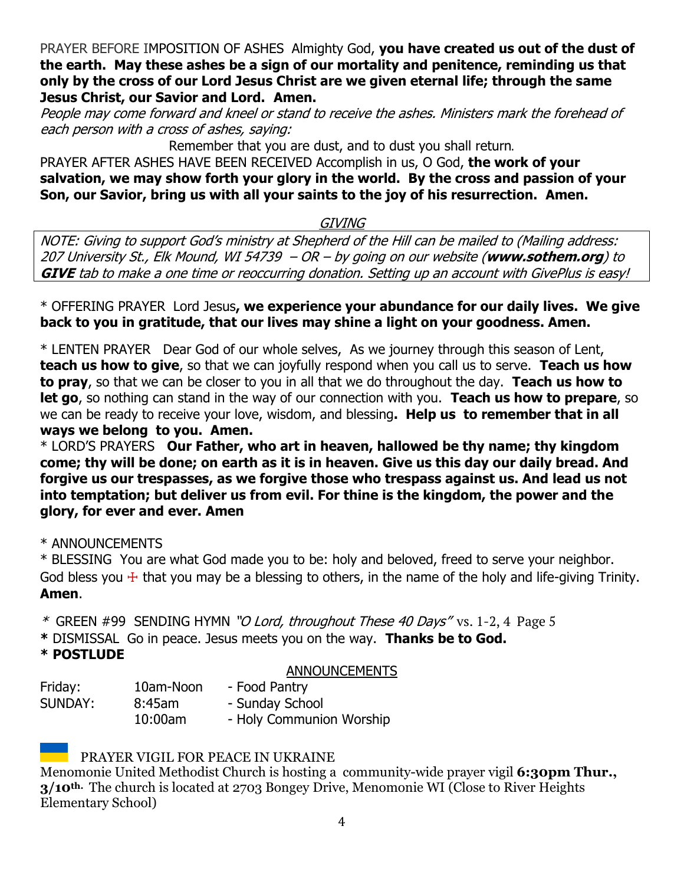PRAYER BEFORE IMPOSITION OF ASHESAlmighty God, **you have created us out of the dust of the earth. May these ashes be a sign of our mortality and penitence, reminding us that only by the cross of our Lord Jesus Christ are we given eternal life; through the same Jesus Christ, our Savior and Lord. Amen.**

People may come forward and kneel or stand to receive the ashes. Ministers mark the forehead of each person with a cross of ashes, saying:

Remember that you are dust, and to dust you shall return.

PRAYER AFTER ASHES HAVE BEEN RECEIVED Accomplish in us, O God, **the work of your salvation, we may show forth your glory in the world. By the cross and passion of your Son, our Savior, bring us with all your saints to the joy of his resurrection. Amen.** 

# GIVING

NOTE: Giving to support God's ministry at Shepherd of the Hill can be mailed to (Mailing address: 207 University St., Elk Mound, WI 54739 – OR – by going on our website (**www.sothem.org**) to **GIVE** tab to make a one time or reoccurring donation. Setting up an account with GivePlus is easy!

\* OFFERING PRAYERLord Jesus**, we experience your abundance for our daily lives. We give back to you in gratitude, that our lives may shine a light on your goodness. Amen.**

\* LENTEN PRAYER Dear God of our whole selves, As we journey through this season of Lent, **teach us how to give**, so that we can joyfully respond when you call us to serve. **Teach us how to pray**, so that we can be closer to you in all that we do throughout the day. **Teach us how to let go**, so nothing can stand in the way of our connection with you. **Teach us how to prepare**, so we can be ready to receive your love, wisdom, and blessing**. Help us to remember that in all ways we belong to you. Amen.**

\* LORD'S PRAYERS **Our Father, who art in heaven, hallowed be thy name; thy kingdom come; thy will be done; on earth as it is in heaven. Give us this day our daily bread. And forgive us our trespasses, as we forgive those who trespass against us. And lead us not into temptation; but deliver us from evil. For thine is the kingdom, the power and the glory, for ever and ever. Amen**

\* ANNOUNCEMENTS

\* BLESSING You are what God made you to be: holy and beloved, freed to serve your neighbor. God bless you  $\pm$  that you may be a blessing to others, in the name of the holy and life-giving Trinity. **Amen**.

\* GREEN #99 SENDING HYMN "O Lord, throughout These 40 Days"vs. 1-2, 4 Page 5

**\*** DISMISSAL Go in peace. Jesus meets you on the way. **Thanks be to God.**

# **\* POSTLUDE**

#### ANNOUNCEMENTS

| Friday: | 10am-Noon | - Food Pantry            |
|---------|-----------|--------------------------|
| SUNDAY: | $8:45$ am | - Sunday School          |
|         | 10:00am   | - Holy Communion Worship |

# PRAYER VIGIL FOR PEACE IN UKRAINE

Menomonie United Methodist Church is hosting a community-wide prayer vigil **6:30pm Thur., 3/10th.** The church is located at 2703 Bongey Drive, Menomonie WI (Close to River Heights Elementary School)